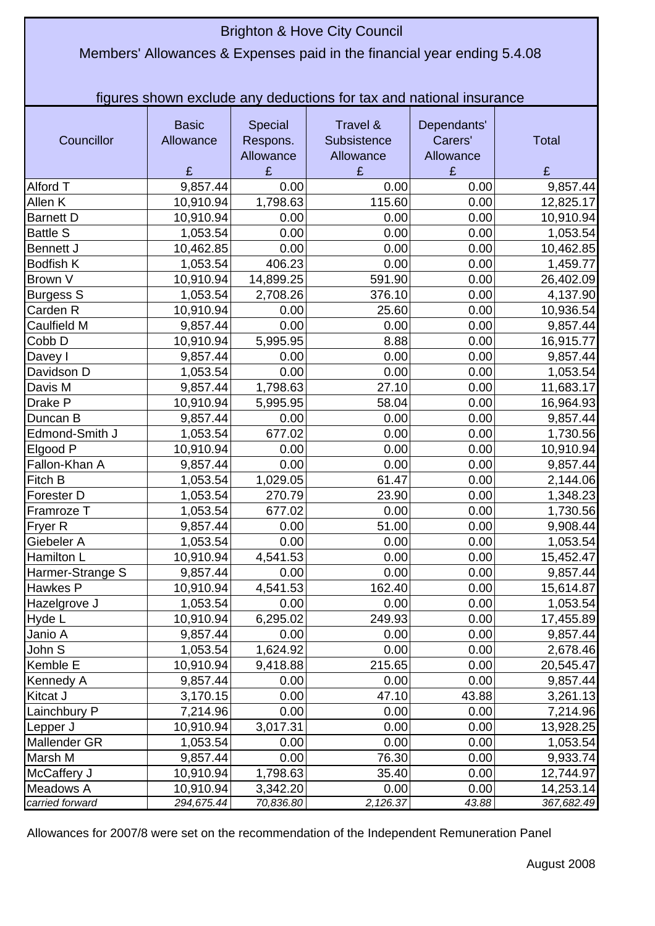## Brighton & Hove City Council

## Members' Allowances & Expenses paid in the financial year ending 5.4.08

figures shown exclude any deductions for tax and national insurance

| Councillor       | <b>Basic</b><br>Allowance<br>£ | Special<br>Respons.<br>Allowance<br>£ | Travel &<br>Subsistence<br>Allowance<br>£ | Dependants'<br>Carers'<br>Allowance<br>£ | <b>Total</b><br>£ |
|------------------|--------------------------------|---------------------------------------|-------------------------------------------|------------------------------------------|-------------------|
| Alford T         | 9,857.44                       | 0.00                                  | 0.00                                      | 0.00                                     | 9,857.44          |
| Allen K          | 10,910.94                      | 1,798.63                              | 115.60                                    | 0.00                                     | 12,825.17         |
| <b>Barnett D</b> | 10,910.94                      | 0.00                                  | 0.00                                      | 0.00                                     | 10,910.94         |
| <b>Battle S</b>  | 1,053.54                       | 0.00                                  | 0.00                                      | 0.00                                     | 1,053.54          |
| Bennett J        | 10,462.85                      | 0.00                                  | 0.00                                      | 0.00                                     | 10,462.85         |
| <b>Bodfish K</b> | 1,053.54                       | 406.23                                | 0.00                                      | 0.00                                     | 1,459.77          |
| Brown V          | 10,910.94                      | 14,899.25                             | 591.90                                    | 0.00                                     | 26,402.09         |
| Burgess S        | 1,053.54                       | 2,708.26                              | 376.10                                    | 0.00                                     | 4,137.90          |
| Carden R         | 10,910.94                      | 0.00                                  | 25.60                                     | 0.00                                     | 10,936.54         |
| Caulfield M      | 9,857.44                       | 0.00                                  | 0.00                                      | 0.00                                     | 9,857.44          |
| Cobb D           | 10,910.94                      | 5,995.95                              | 8.88                                      | 0.00                                     | 16,915.77         |
| Davey I          | 9,857.44                       | 0.00                                  | 0.00                                      | 0.00                                     | 9,857.44          |
| Davidson D       | 1,053.54                       | 0.00                                  | 0.00                                      | 0.00                                     | 1,053.54          |
| Davis M          | 9,857.44                       | 1,798.63                              | 27.10                                     | 0.00                                     | 11,683.17         |
| Drake P          | 10,910.94                      | 5,995.95                              | 58.04                                     | 0.00                                     | 16,964.93         |
| Duncan B         | 9,857.44                       | 0.00                                  | 0.00                                      | 0.00                                     | 9,857.44          |
| Edmond-Smith J   | 1,053.54                       | 677.02                                | 0.00                                      | 0.00                                     | 1,730.56          |
| Elgood P         | 10,910.94                      | 0.00                                  | 0.00                                      | 0.00                                     | 10,910.94         |
| Fallon-Khan A    | 9,857.44                       | 0.00                                  | 0.00                                      | 0.00                                     | 9,857.44          |
| Fitch B          | 1,053.54                       | 1,029.05                              | 61.47                                     | 0.00                                     | 2,144.06          |
| Forester D       | 1,053.54                       | 270.79                                | 23.90                                     | 0.00                                     | 1,348.23          |
| Framroze T       | 1,053.54                       | 677.02                                | 0.00                                      | 0.00                                     | 1,730.56          |
| Fryer R          | 9,857.44                       | 0.00                                  | 51.00                                     | 0.00                                     | 9,908.44          |
| Giebeler A       | 1,053.54                       | 0.00                                  | 0.00                                      | 0.00                                     | 1,053.54          |
| Hamilton L       | 10,910.94                      | 4,541.53                              | 0.00                                      | 0.00                                     | 15,452.47         |
| Harmer-Strange S | 9,857.44                       | 0.00                                  | 0.00                                      | 0.00                                     | 9,857.44          |
| Hawkes P         | 10,910.94                      | 4,541.53                              | 162.40                                    | 0.00                                     | 15,614.87         |
| Hazelgrove J     | 1,053.54                       | 0.00                                  | 0.00                                      | 0.00                                     | 1,053.54          |
| Hyde L           | 10,910.94                      | 6,295.02                              | 249.93                                    | 0.00                                     | 17,455.89         |
| Janio A          | 9,857.44                       | 0.00                                  | 0.00                                      | 0.00                                     | 9,857.44          |
| John S           | 1,053.54                       | 1,624.92                              | 0.00                                      | 0.00                                     | 2,678.46          |
| Kemble E         | 10,910.94                      | 9,418.88                              | 215.65                                    | 0.00                                     | 20,545.47         |
| Kennedy A        | 9,857.44                       | 0.00                                  | 0.00                                      | 0.00                                     | 9,857.44          |
| Kitcat J         | 3,170.15                       | 0.00                                  | 47.10                                     | 43.88                                    | 3,261.13          |
| Lainchbury P     | 7,214.96                       | 0.00                                  | 0.00                                      | 0.00                                     | 7,214.96          |
| Lepper J         | 10,910.94                      | 3,017.31                              | 0.00                                      | 0.00                                     | 13,928.25         |
| Mallender GR     | 1,053.54                       | 0.00                                  | 0.00                                      | 0.00                                     | 1,053.54          |
| Marsh M          | 9,857.44                       | 0.00                                  | 76.30                                     | 0.00                                     | 9,933.74          |
| McCaffery J      | 10,910.94                      | 1,798.63                              | 35.40                                     | 0.00                                     | 12,744.97         |
| Meadows A        | 10,910.94                      | 3,342.20                              | 0.00                                      | 0.00                                     | 14,253.14         |
| carried forward  | 294,675.44                     | 70,836.80                             | 2,126.37                                  | 43.88                                    | 367,682.49        |

Allowances for 2007/8 were set on the recommendation of the Independent Remuneration Panel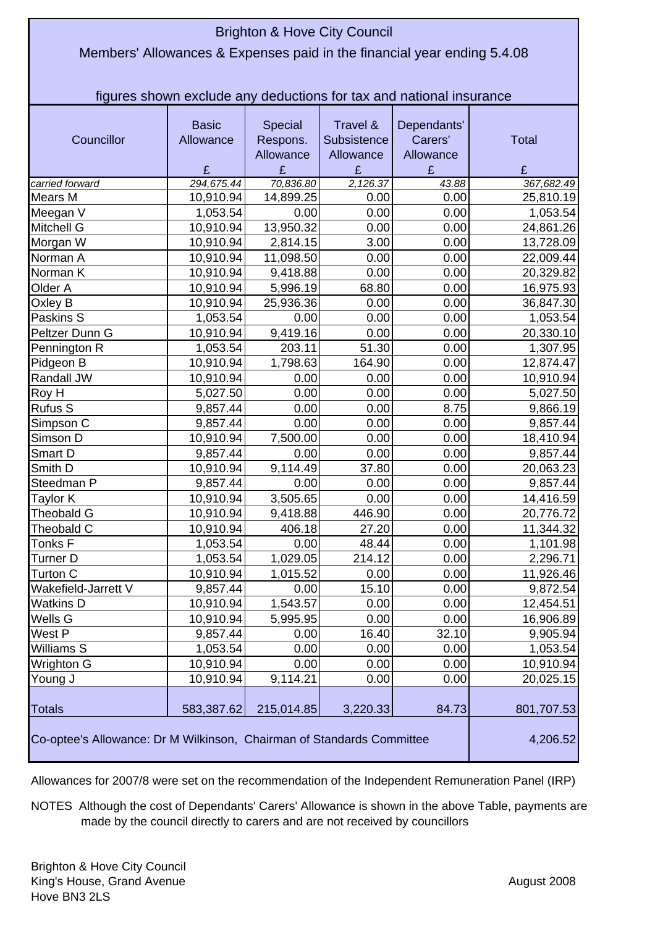| <b>Brighton &amp; Hove City Council</b>                                 |              |            |             |             |              |  |  |  |
|-------------------------------------------------------------------------|--------------|------------|-------------|-------------|--------------|--|--|--|
| Members' Allowances & Expenses paid in the financial year ending 5.4.08 |              |            |             |             |              |  |  |  |
|                                                                         |              |            |             |             |              |  |  |  |
|                                                                         |              |            |             |             |              |  |  |  |
| figures shown exclude any deductions for tax and national insurance     |              |            |             |             |              |  |  |  |
|                                                                         | <b>Basic</b> | Special    | Travel &    | Dependants' |              |  |  |  |
| Councillor                                                              | Allowance    | Respons.   | Subsistence | Carers'     | <b>Total</b> |  |  |  |
|                                                                         |              | Allowance  | Allowance   | Allowance   |              |  |  |  |
|                                                                         | £            | £          | £           | £           | £            |  |  |  |
| carried forward                                                         | 294,675.44   | 70,836.80  | 2,126.37    | 43.88       | 367,682.49   |  |  |  |
| <b>Mears M</b>                                                          | 10,910.94    | 14,899.25  | 0.00        | 0.00        | 25,810.19    |  |  |  |
| Meegan V                                                                | 1,053.54     | 0.00       | 0.00        | 0.00        | 1,053.54     |  |  |  |
| <b>Mitchell G</b>                                                       | 10,910.94    | 13,950.32  | 0.00        | 0.00        | 24,861.26    |  |  |  |
| Morgan W                                                                | 10,910.94    | 2,814.15   | 3.00        | 0.00        | 13,728.09    |  |  |  |
| Norman A                                                                | 10,910.94    | 11,098.50  | 0.00        | 0.00        | 22,009.44    |  |  |  |
| Norman K                                                                | 10,910.94    | 9,418.88   | 0.00        | 0.00        | 20,329.82    |  |  |  |
| Older A                                                                 | 10,910.94    | 5,996.19   | 68.80       | 0.00        | 16,975.93    |  |  |  |
| Oxley B                                                                 | 10,910.94    | 25,936.36  | 0.00        | 0.00        | 36,847.30    |  |  |  |
| Paskins S                                                               | 1,053.54     | 0.00       | 0.00        | 0.00        | 1,053.54     |  |  |  |
| Peltzer Dunn G                                                          | 10,910.94    | 9,419.16   | 0.00        | 0.00        | 20,330.10    |  |  |  |
| Pennington R                                                            | 1,053.54     | 203.11     | 51.30       | 0.00        | 1,307.95     |  |  |  |
| Pidgeon B                                                               | 10,910.94    | 1,798.63   | 164.90      | 0.00        | 12,874.47    |  |  |  |
| Randall JW                                                              | 10,910.94    | 0.00       | 0.00        | 0.00        | 10,910.94    |  |  |  |
| Roy H                                                                   | 5,027.50     | 0.00       | 0.00        | 0.00        | 5,027.50     |  |  |  |
| <b>Rufus S</b>                                                          | 9,857.44     | 0.00       | 0.00        | 8.75        | 9,866.19     |  |  |  |
| Simpson C                                                               | 9,857.44     | 0.00       | 0.00        | 0.00        | 9,857.44     |  |  |  |
| Simson D                                                                | 10,910.94    | 7,500.00   | 0.00        | 0.00        | 18,410.94    |  |  |  |
| Smart D                                                                 | 9,857.44     | 0.00       | 0.00        | 0.00        | 9,857.44     |  |  |  |
| Smith D                                                                 | 10,910.94    | 9,114.49   | 37.80       | 0.00        | 20,063.23    |  |  |  |
| Steedman P                                                              | 9,857.44     | 0.00       | 0.00        | 0.00        | 9,857.44     |  |  |  |
| Taylor K                                                                | 10,910.94    | 3,505.65   | 0.00        | 0.00        | 14,416.59    |  |  |  |
| Theobald G                                                              | 10,910.94    | 9,418.88   | 446.90      | 0.00        | 20,776.72    |  |  |  |
| Theobald C                                                              | 10,910.94    | 406.18     | 27.20       | 0.00        | 11,344.32    |  |  |  |
| Tonks F                                                                 | 1,053.54     | 0.00       | 48.44       | 0.00        | 1,101.98     |  |  |  |
| Turner D                                                                | 1,053.54     | 1,029.05   | 214.12      | 0.00        | 2,296.71     |  |  |  |
| Turton C                                                                | 10,910.94    | 1,015.52   | 0.00        | 0.00        | 11,926.46    |  |  |  |
| Wakefield-Jarrett V                                                     | 9,857.44     | 0.00       | 15.10       | 0.00        | 9,872.54     |  |  |  |
| <b>Watkins D</b>                                                        | 10,910.94    | 1,543.57   | 0.00        | 0.00        | 12,454.51    |  |  |  |
| Wells G                                                                 | 10,910.94    | 5,995.95   | 0.00        | 0.00        | 16,906.89    |  |  |  |
| West P                                                                  | 9,857.44     | 0.00       | 16.40       | 32.10       | 9,905.94     |  |  |  |
| Williams S                                                              | 1,053.54     | 0.00       | 0.00        | 0.00        | 1,053.54     |  |  |  |
| Wrighton G                                                              | 10,910.94    | 0.00       | 0.00        | 0.00        | 10,910.94    |  |  |  |
| Young J                                                                 | 10,910.94    | 9,114.21   | 0.00        | 0.00        | 20,025.15    |  |  |  |
| <b>Totals</b>                                                           | 583,387.62   | 215,014.85 | 3,220.33    | 84.73       | 801,707.53   |  |  |  |
| Co-optee's Allowance: Dr M Wilkinson, Chairman of Standards Committee   |              |            |             |             | 4,206.52     |  |  |  |

Allowances for 2007/8 were set on the recommendation of the Independent Remuneration Panel (IRP)

NOTES Although the cost of Dependants' Carers' Allowance is shown in the above Table, payments are made by the council directly to carers and are not received by councillors